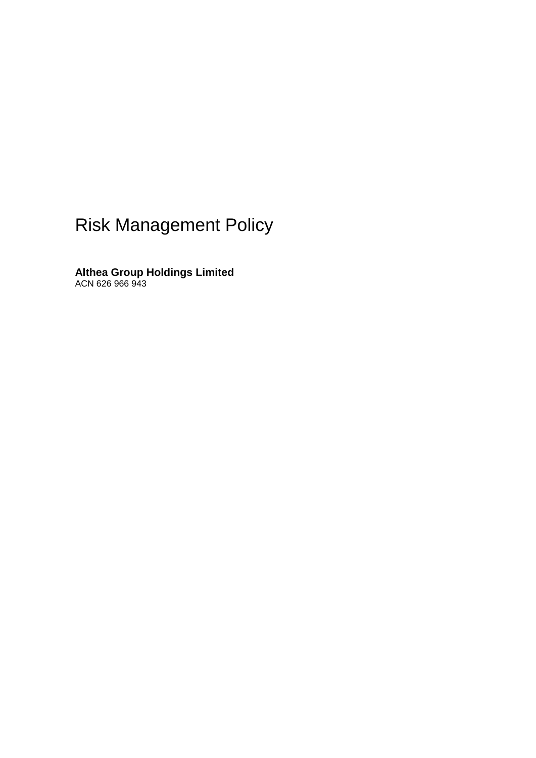# Risk Management Policy

**Althea Group Holdings Limited** ACN 626 966 943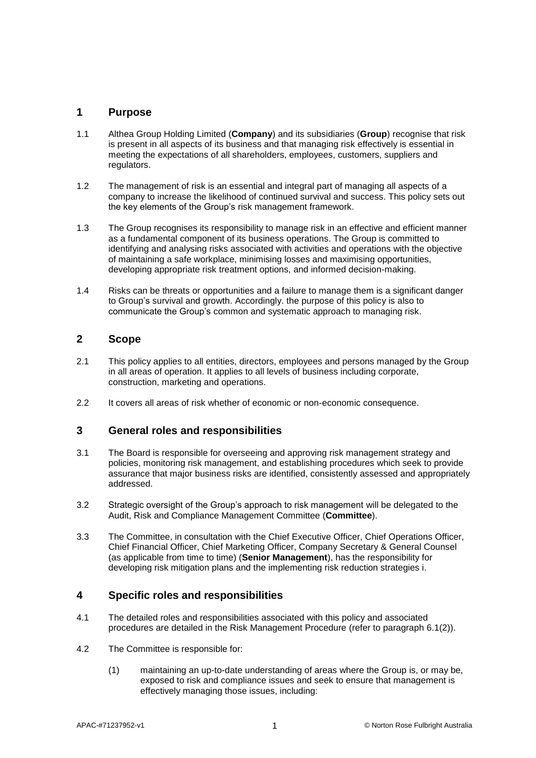### **1 Purpose**

- 1.1 Althea Group Holding Limited (**Company**) and its subsidiaries (**Group**) recognise that risk is present in all aspects of its business and that managing risk effectively is essential in meeting the expectations of all shareholders, employees, customers, suppliers and regulators.
- 1.2 The management of risk is an essential and integral part of managing all aspects of a company to increase the likelihood of continued survival and success. This policy sets out the key elements of the Group's risk management framework.
- 1.3 The Group recognises its responsibility to manage risk in an effective and efficient manner as a fundamental component of its business operations. The Group is committed to identifying and analysing risks associated with activities and operations with the objective of maintaining a safe workplace, minimising losses and maximising opportunities, developing appropriate risk treatment options, and informed decision-making.
- 1.4 Risks can be threats or opportunities and a failure to manage them is a significant danger to Group's survival and growth. Accordingly. the purpose of this policy is also to communicate the Group's common and systematic approach to managing risk.

### **2 Scope**

- 2.1 This policy applies to all entities, directors, employees and persons managed by the Group in all areas of operation. It applies to all levels of business including corporate, construction, marketing and operations.
- 2.2 It covers all areas of risk whether of economic or non-economic consequence.

#### **3 General roles and responsibilities**

- 3.1 The Board is responsible for overseeing and approving risk management strategy and policies, monitoring risk management, and establishing procedures which seek to provide assurance that major business risks are identified, consistently assessed and appropriately addressed.
- 3.2 Strategic oversight of the Group's approach to risk management will be delegated to the Audit, Risk and Compliance Management Committee (**Committee**).
- 3.3 The Committee, in consultation with the Chief Executive Officer, Chief Operations Officer, Chief Financial Officer, Chief Marketing Officer, Company Secretary & General Counsel (as applicable from time to time) (**Senior Management**), has the responsibility for developing risk mitigation plans and the implementing risk reduction strategies i.

## **4 Specific roles and responsibilities**

- 4.1 The detailed roles and responsibilities associated with this policy and associated procedures are detailed in the Risk Management Procedure (refer to paragraph [6.1\(2\)\)](#page-3-0).
- 4.2 The Committee is responsible for:
	- (1) maintaining an up-to-date understanding of areas where the Group is, or may be, exposed to risk and compliance issues and seek to ensure that management is effectively managing those issues, including: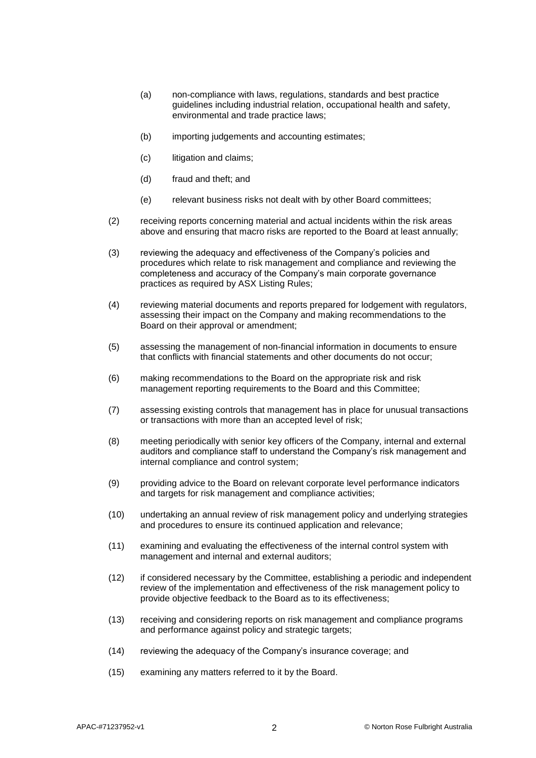- (a) non-compliance with laws, regulations, standards and best practice guidelines including industrial relation, occupational health and safety, environmental and trade practice laws;
- (b) importing judgements and accounting estimates;
- (c) litigation and claims;
- (d) fraud and theft; and
- (e) relevant business risks not dealt with by other Board committees;
- (2) receiving reports concerning material and actual incidents within the risk areas above and ensuring that macro risks are reported to the Board at least annually;
- (3) reviewing the adequacy and effectiveness of the Company's policies and procedures which relate to risk management and compliance and reviewing the completeness and accuracy of the Company's main corporate governance practices as required by ASX Listing Rules;
- (4) reviewing material documents and reports prepared for lodgement with regulators, assessing their impact on the Company and making recommendations to the Board on their approval or amendment;
- (5) assessing the management of non-financial information in documents to ensure that conflicts with financial statements and other documents do not occur;
- (6) making recommendations to the Board on the appropriate risk and risk management reporting requirements to the Board and this Committee;
- (7) assessing existing controls that management has in place for unusual transactions or transactions with more than an accepted level of risk;
- (8) meeting periodically with senior key officers of the Company, internal and external auditors and compliance staff to understand the Company's risk management and internal compliance and control system;
- (9) providing advice to the Board on relevant corporate level performance indicators and targets for risk management and compliance activities;
- (10) undertaking an annual review of risk management policy and underlying strategies and procedures to ensure its continued application and relevance;
- (11) examining and evaluating the effectiveness of the internal control system with management and internal and external auditors;
- (12) if considered necessary by the Committee, establishing a periodic and independent review of the implementation and effectiveness of the risk management policy to provide objective feedback to the Board as to its effectiveness;
- (13) receiving and considering reports on risk management and compliance programs and performance against policy and strategic targets;
- (14) reviewing the adequacy of the Company's insurance coverage; and
- (15) examining any matters referred to it by the Board.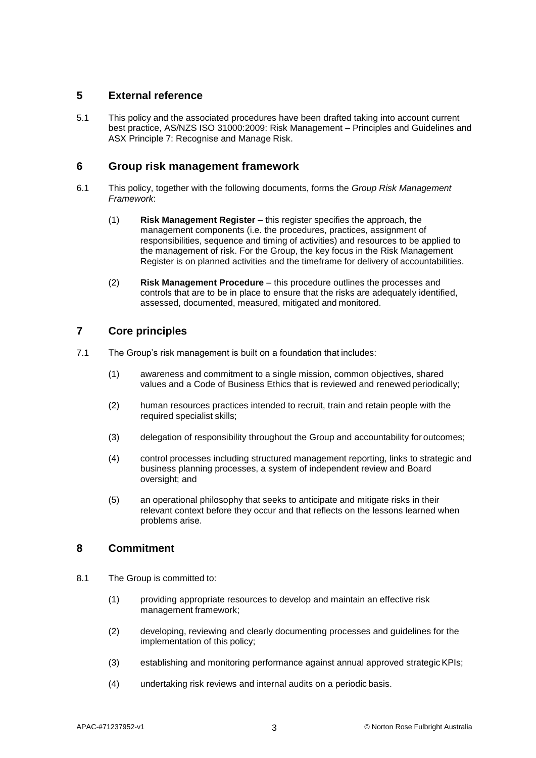### **5 External reference**

5.1 This policy and the associated procedures have been drafted taking into account current best practice, AS/NZS ISO 31000:2009: Risk Management – Principles and Guidelines and ASX Principle 7: Recognise and Manage Risk.

#### **6 Group risk management framework**

- 6.1 This policy, together with the following documents, forms the *Group Risk Management Framework*:
	- (1) **Risk Management Register** this register specifies the approach, the management components (i.e. the procedures, practices, assignment of responsibilities, sequence and timing of activities) and resources to be applied to the management of risk. For the Group, the key focus in the Risk Management Register is on planned activities and the timeframe for delivery of accountabilities.
	- (2) **Risk Management Procedure** this procedure outlines the processes and controls that are to be in place to ensure that the risks are adequately identified, assessed, documented, measured, mitigated and monitored.

## <span id="page-3-0"></span>**7 Core principles**

- 7.1 The Group's risk management is built on a foundation that includes:
	- (1) awareness and commitment to a single mission, common objectives, shared values and a Code of Business Ethics that is reviewed and renewed periodically;
	- (2) human resources practices intended to recruit, train and retain people with the required specialist skills;
	- (3) delegation of responsibility throughout the Group and accountability for outcomes;
	- (4) control processes including structured management reporting, links to strategic and business planning processes, a system of independent review and Board oversight; and
	- (5) an operational philosophy that seeks to anticipate and mitigate risks in their relevant context before they occur and that reflects on the lessons learned when problems arise.

## **8 Commitment**

- 8.1 The Group is committed to:
	- (1) providing appropriate resources to develop and maintain an effective risk management framework;
	- (2) developing, reviewing and clearly documenting processes and guidelines for the implementation of this policy;
	- (3) establishing and monitoring performance against annual approved strategicKPIs;
	- (4) undertaking risk reviews and internal audits on a periodic basis.